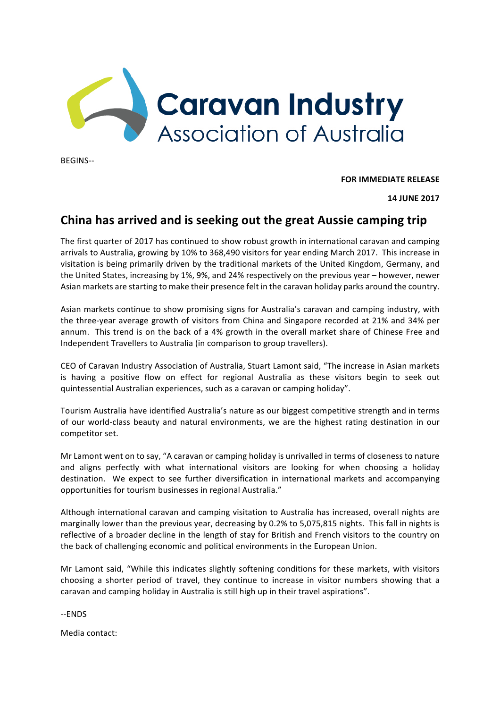

BEGINS--

**FOR IMMEDIATE RELEASE** 

**14 JUNE 2017**

## **China has arrived and is seeking out the great Aussie camping trip**

The first quarter of 2017 has continued to show robust growth in international caravan and camping arrivals to Australia, growing by 10% to 368,490 visitors for year ending March 2017. This increase in visitation is being primarily driven by the traditional markets of the United Kingdom, Germany, and the United States, increasing by 1%, 9%, and 24% respectively on the previous year – however, newer Asian markets are starting to make their presence felt in the caravan holiday parks around the country.

Asian markets continue to show promising signs for Australia's caravan and camping industry, with the three-year average growth of visitors from China and Singapore recorded at 21% and 34% per annum. This trend is on the back of a 4% growth in the overall market share of Chinese Free and Independent Travellers to Australia (in comparison to group travellers).

CEO of Caravan Industry Association of Australia, Stuart Lamont said, "The increase in Asian markets is having a positive flow on effect for regional Australia as these visitors begin to seek out quintessential Australian experiences, such as a caravan or camping holiday".

Tourism Australia have identified Australia's nature as our biggest competitive strength and in terms of our world-class beauty and natural environments, we are the highest rating destination in our competitor set.

Mr Lamont went on to say, "A caravan or camping holiday is unrivalled in terms of closeness to nature and aligns perfectly with what international visitors are looking for when choosing a holiday destination. We expect to see further diversification in international markets and accompanying opportunities for tourism businesses in regional Australia."

Although international caravan and camping visitation to Australia has increased, overall nights are marginally lower than the previous year, decreasing by 0.2% to 5,075,815 nights. This fall in nights is reflective of a broader decline in the length of stay for British and French visitors to the country on the back of challenging economic and political environments in the European Union.

Mr Lamont said, "While this indicates slightly softening conditions for these markets, with visitors choosing a shorter period of travel, they continue to increase in visitor numbers showing that a caravan and camping holiday in Australia is still high up in their travel aspirations".

--ENDS

Media contact: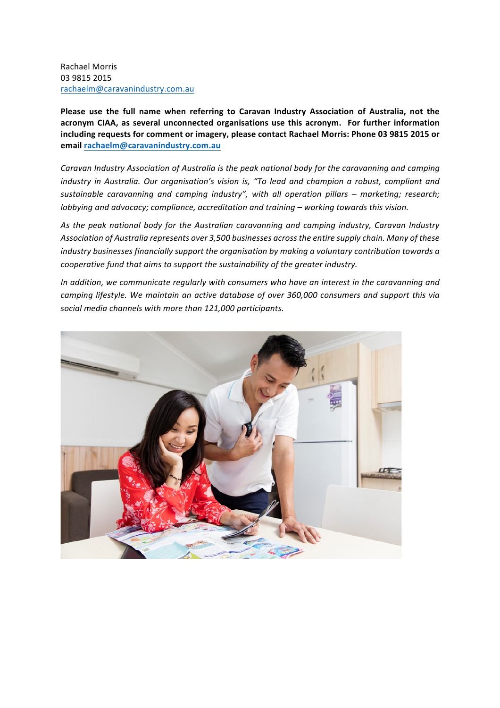Rachael Morris 03 9815 2015 rachaelm@caravanindustry.com.au

Please use the full name when referring to Caravan Industry Association of Australia, not the acronym CIAA, as several unconnected organisations use this acronym. For further information including requests for comment or imagery, please contact Rachael Morris: Phone 03 9815 2015 or **email rachaelm@caravanindustry.com.au**

Caravan Industry Association of Australia is the peak national body for the caravanning and camping *industry in Australia. Our organisation's vision is, "To lead and champion a robust, compliant and sustainable caravanning and camping industry", with all operation pillars – marketing; research; lobbying and advocacy; compliance, accreditation and training* – working towards this vision.

As the peak national body for the Australian caravanning and camping industry, Caravan Industry Association of Australia represents over 3,500 businesses across the entire supply chain. Many of these *industry businesses financially support the organisation by making a voluntary contribution towards a cooperative fund that aims to support the sustainability of the greater industry.* 

In addition, we communicate regularly with consumers who have an interest in the caravanning and *camping lifestyle.* We maintain an active database of over 360,000 consumers and support this via social media channels with more than 121,000 participants.